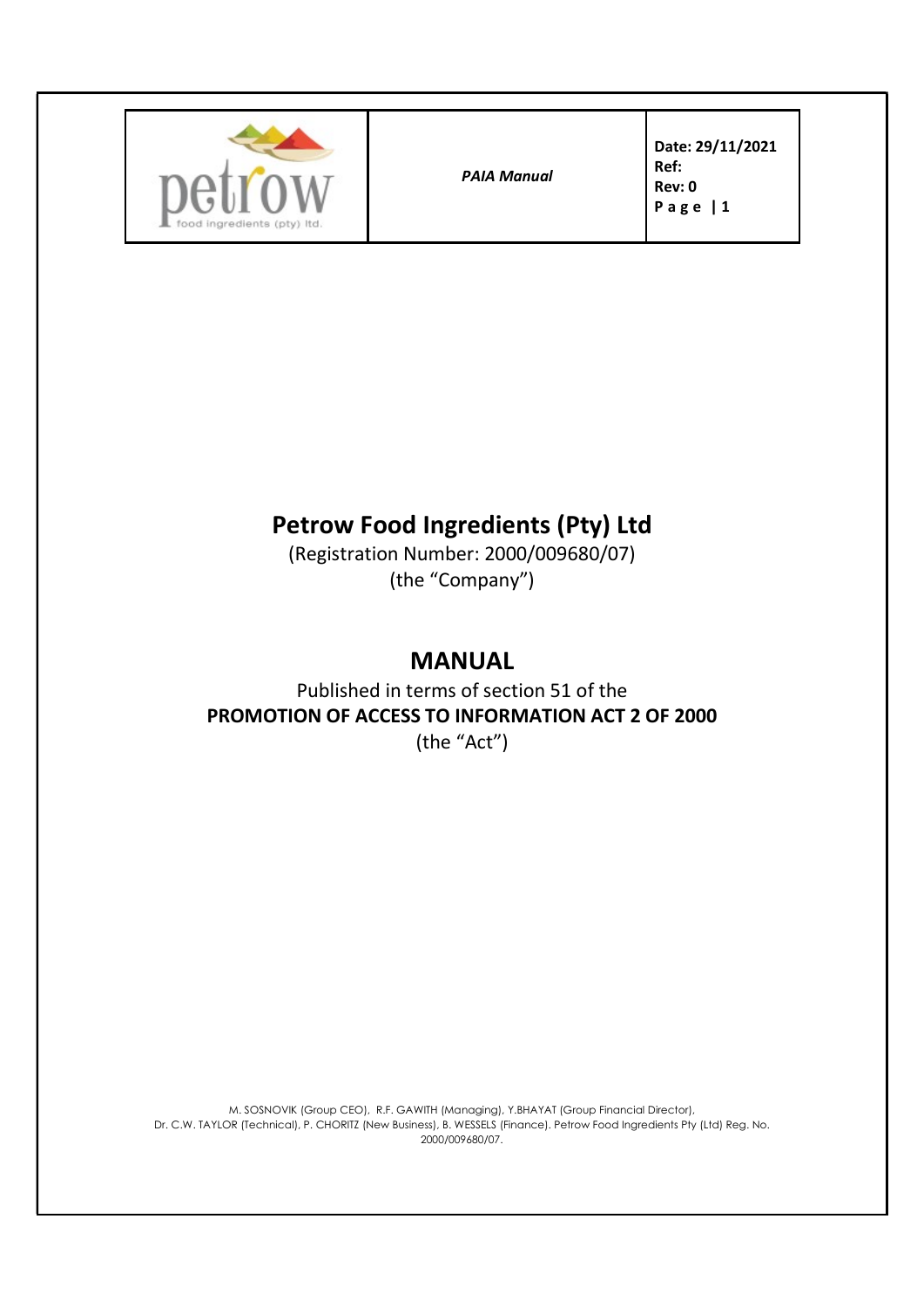

Date: 29/11/2021 Ref: Rev: 0 P a g e | 1

# Petrow Food Ingredients (Pty) Ltd

(Registration Number: 2000/009680/07) (the "Company")

# MANUAL

Published in terms of section 51 of the PROMOTION OF ACCESS TO INFORMATION ACT 2 OF 2000 (the "Act")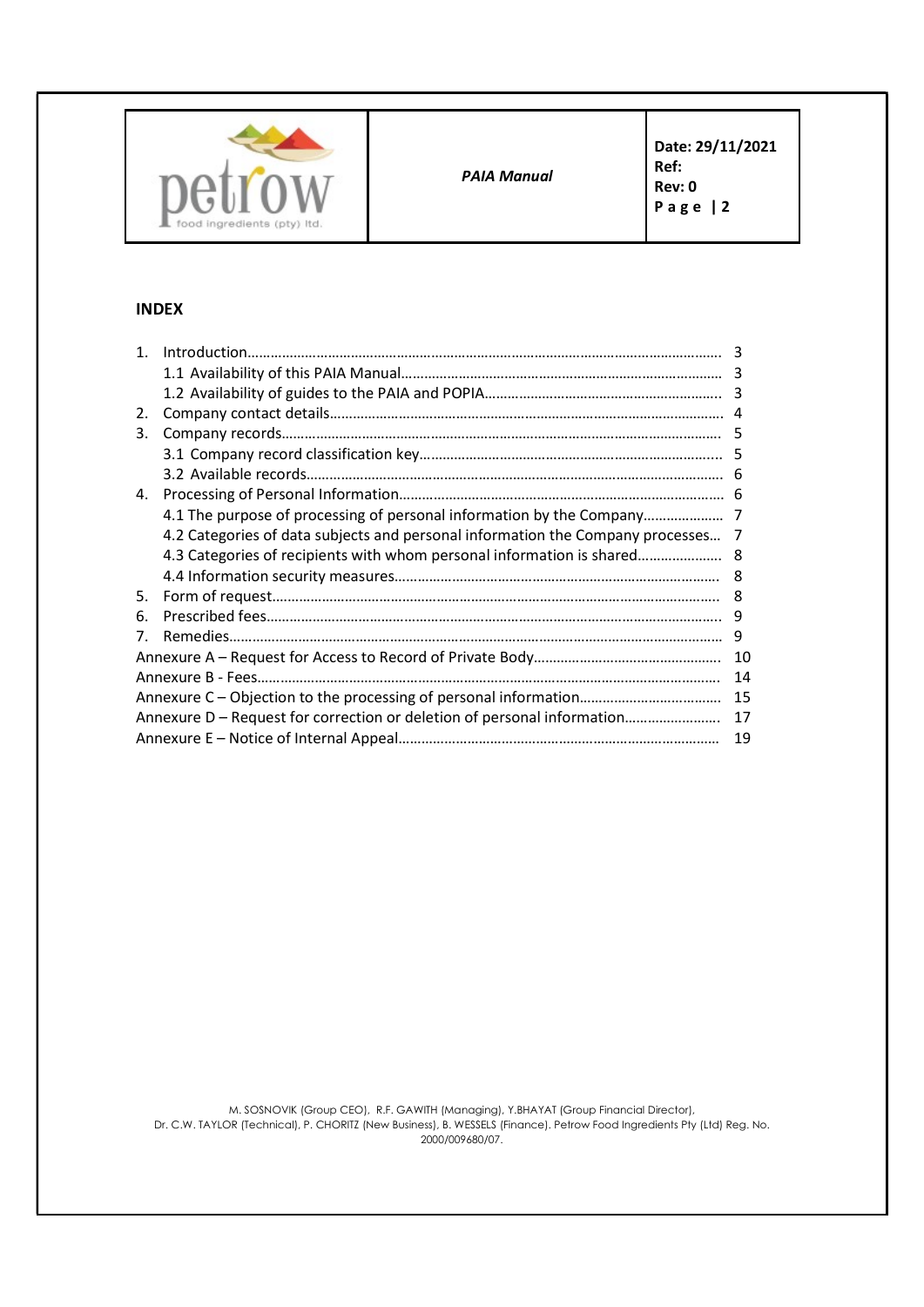

Date: 29/11/2021 Ref: Rev: 0 P a g e | 2

# INDEX

| 1 <sup>1</sup> |                                                                                  |    |  |  |
|----------------|----------------------------------------------------------------------------------|----|--|--|
|                |                                                                                  |    |  |  |
|                |                                                                                  |    |  |  |
| 2.             |                                                                                  |    |  |  |
| 3.             |                                                                                  |    |  |  |
|                |                                                                                  |    |  |  |
|                |                                                                                  |    |  |  |
| 4.             |                                                                                  |    |  |  |
|                |                                                                                  |    |  |  |
|                | 4.2 Categories of data subjects and personal information the Company processes 7 |    |  |  |
|                | 4.3 Categories of recipients with whom personal information is shared 8          |    |  |  |
|                |                                                                                  |    |  |  |
| 5.             |                                                                                  | 8  |  |  |
| 6.             |                                                                                  | 9  |  |  |
| 7 <sup>1</sup> |                                                                                  | 9  |  |  |
|                |                                                                                  | 10 |  |  |
|                |                                                                                  | 14 |  |  |
|                |                                                                                  | 15 |  |  |
|                | Annexure D – Request for correction or deletion of personal information<br>17    |    |  |  |
|                | 19                                                                               |    |  |  |
|                |                                                                                  |    |  |  |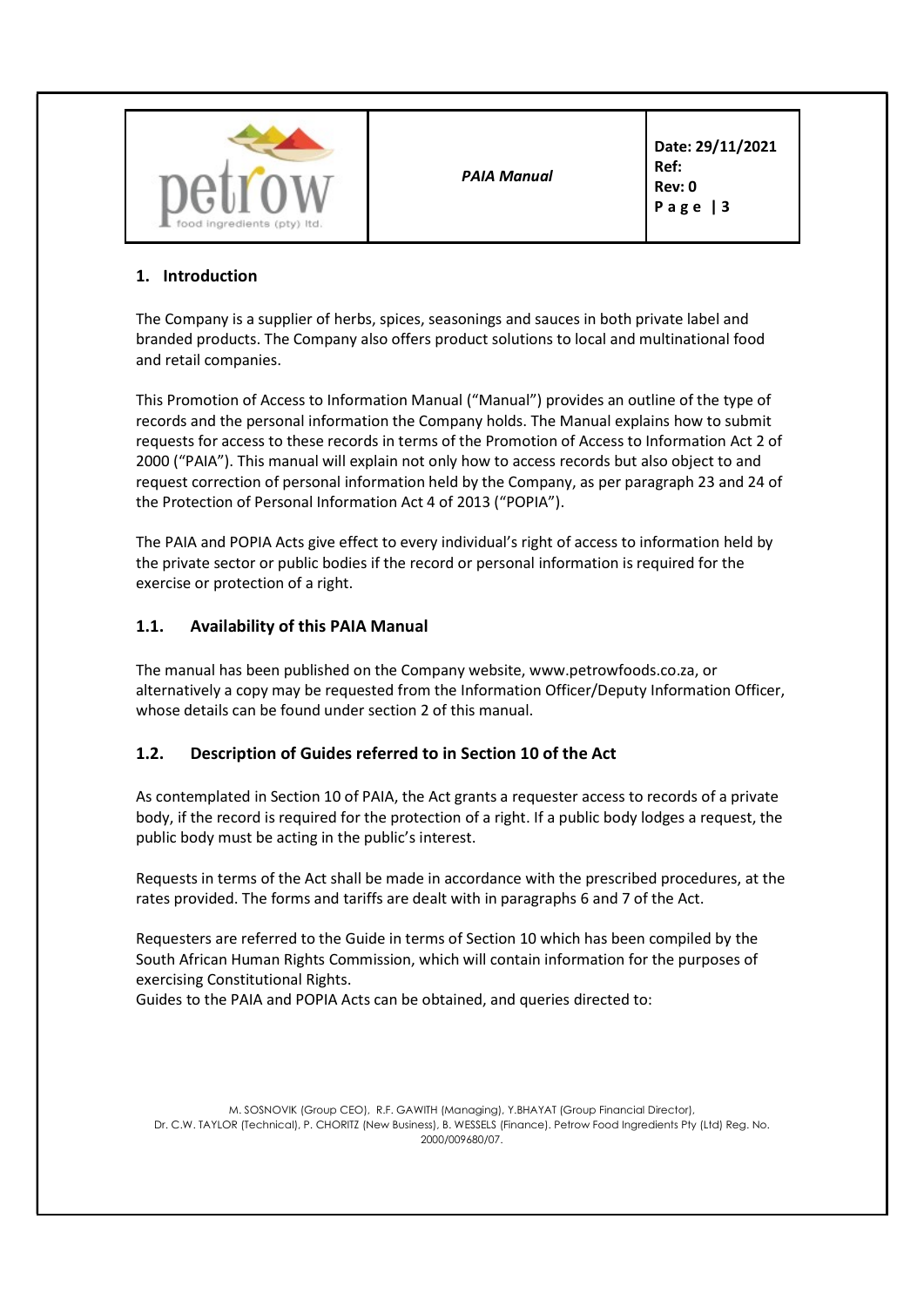| в.<br>food ingredients (pty) Itd. | <b>PAIA Manual</b> | Date: 29/11/2021<br>Ref:<br>Rev: 0<br>Page   3 |
|-----------------------------------|--------------------|------------------------------------------------|
|-----------------------------------|--------------------|------------------------------------------------|

#### 1. Introduction

The Company is a supplier of herbs, spices, seasonings and sauces in both private label and branded products. The Company also offers product solutions to local and multinational food and retail companies.

This Promotion of Access to Information Manual ("Manual") provides an outline of the type of records and the personal information the Company holds. The Manual explains how to submit requests for access to these records in terms of the Promotion of Access to Information Act 2 of 2000 ("PAIA"). This manual will explain not only how to access records but also object to and request correction of personal information held by the Company, as per paragraph 23 and 24 of the Protection of Personal Information Act 4 of 2013 ("POPIA").

The PAIA and POPIA Acts give effect to every individual's right of access to information held by the private sector or public bodies if the record or personal information is required for the exercise or protection of a right.

#### 1.1. Availability of this PAIA Manual

The manual has been published on the Company website, www.petrowfoods.co.za, or alternatively a copy may be requested from the Information Officer/Deputy Information Officer, whose details can be found under section 2 of this manual.

#### 1.2. Description of Guides referred to in Section 10 of the Act

As contemplated in Section 10 of PAIA, the Act grants a requester access to records of a private body, if the record is required for the protection of a right. If a public body lodges a request, the public body must be acting in the public's interest.

Requests in terms of the Act shall be made in accordance with the prescribed procedures, at the rates provided. The forms and tariffs are dealt with in paragraphs 6 and 7 of the Act.

Requesters are referred to the Guide in terms of Section 10 which has been compiled by the South African Human Rights Commission, which will contain information for the purposes of exercising Constitutional Rights.

Guides to the PAIA and POPIA Acts can be obtained, and queries directed to: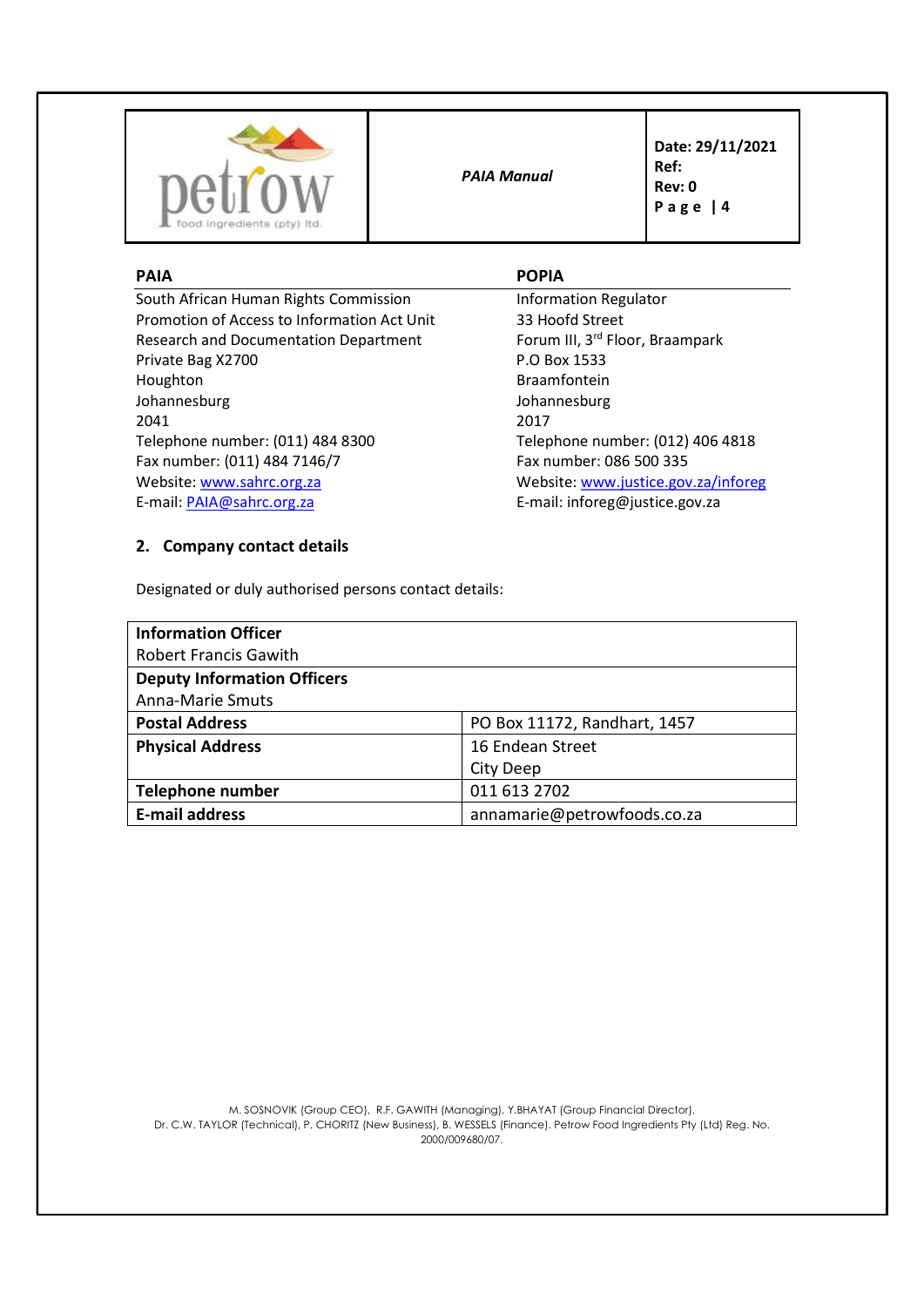

Date: 29/11/2021 Ref: Rev: 0 P a g e | 4

| <b>PAIA</b>                                  | <b>POPIA</b>                        |
|----------------------------------------------|-------------------------------------|
| South African Human Rights Commission        | <b>Information Regulator</b>        |
| Promotion of Access to Information Act Unit  | 33 Hoofd Street                     |
| <b>Research and Documentation Department</b> | Forum III, 3rd Floor, Braampark     |
| Private Bag X2700                            | P.O Box 1533                        |
| Houghton                                     | <b>Braamfontein</b>                 |
| Johannesburg                                 | Johannesburg                        |
| 2041                                         | 2017                                |
| Telephone number: (011) 484 8300             | Telephone number: (012) 406 4818    |
| Fax number: (011) 484 7146/7                 | Fax number: 086 500 335             |
| Website: www.sahrc.org.za                    | Website: www.justice.gov.za/inforeg |
| E-mail: PAIA@sahrc.org.za                    | E-mail: inforeg@justice.gov.za      |

# 2. Company contact details

Designated or duly authorised persons contact details:

| <b>Information Officer</b>         |                              |
|------------------------------------|------------------------------|
| <b>Robert Francis Gawith</b>       |                              |
| <b>Deputy Information Officers</b> |                              |
| <b>Anna-Marie Smuts</b>            |                              |
| <b>Postal Address</b>              | PO Box 11172, Randhart, 1457 |
| <b>Physical Address</b>            | 16 Endean Street             |
|                                    | City Deep                    |
| <b>Telephone number</b>            | 011 613 2702                 |
| <b>E-mail address</b>              | annamarie@petrowfoods.co.za  |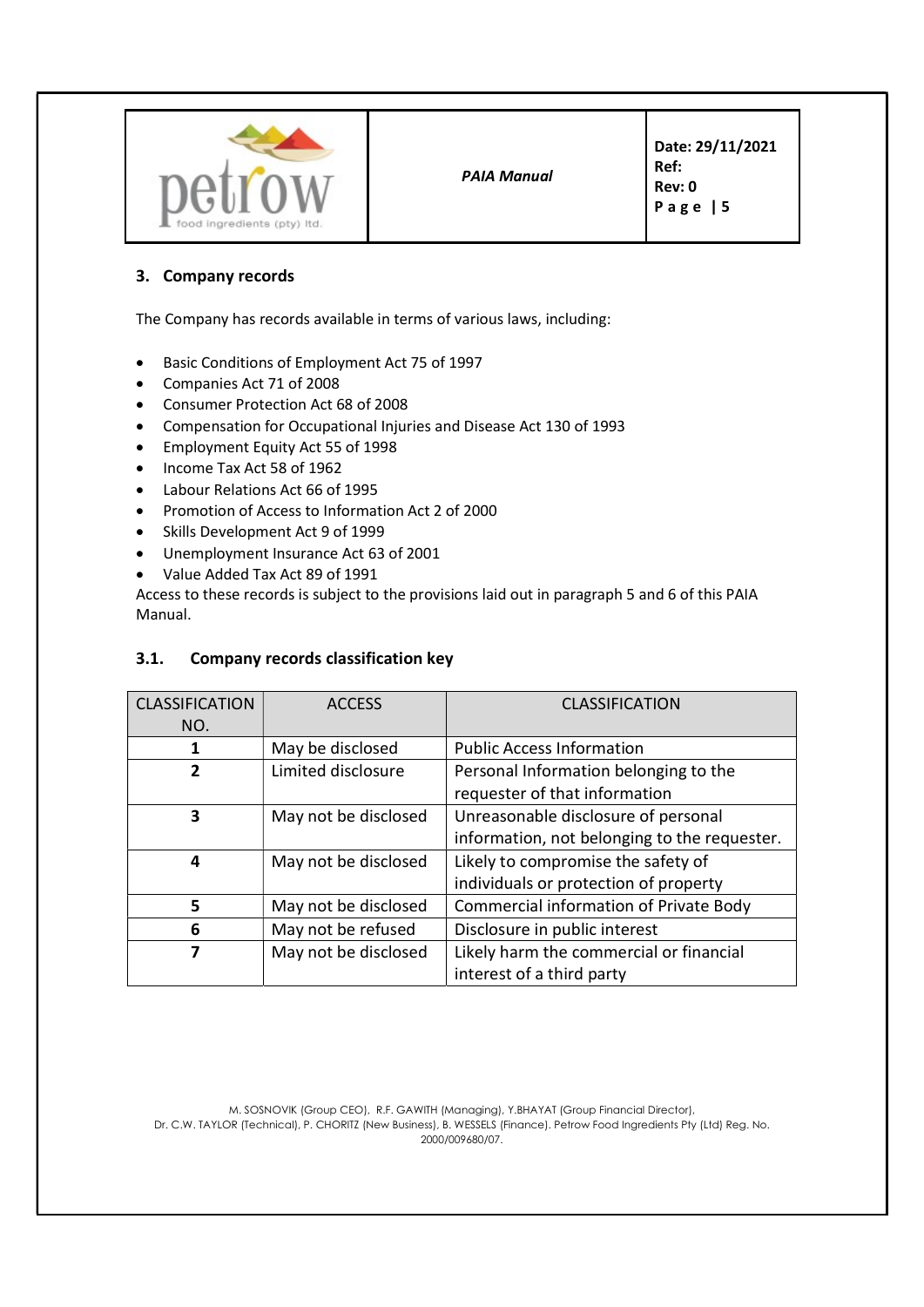| food ingredients (pty) Itd. | <b>PAIA Manual</b> | Date: 29/11/2021<br>Ref:<br>Rev: 0<br>Page<br>l 5 |
|-----------------------------|--------------------|---------------------------------------------------|
|-----------------------------|--------------------|---------------------------------------------------|

#### 3. Company records

The Company has records available in terms of various laws, including:

- Basic Conditions of Employment Act 75 of 1997
- Companies Act 71 of 2008
- Consumer Protection Act 68 of 2008
- Compensation for Occupational Injuries and Disease Act 130 of 1993
- Employment Equity Act 55 of 1998
- Income Tax Act 58 of 1962
- Labour Relations Act 66 of 1995
- Promotion of Access to Information Act 2 of 2000
- Skills Development Act 9 of 1999
- Unemployment Insurance Act 63 of 2001
- Value Added Tax Act 89 of 1991

Access to these records is subject to the provisions laid out in paragraph 5 and 6 of this PAIA Manual.

#### 3.1. Company records classification key

| <b>CLASSIFICATION</b> | <b>ACCESS</b>                                              | <b>CLASSIFICATION</b>                         |  |
|-----------------------|------------------------------------------------------------|-----------------------------------------------|--|
| NO.                   |                                                            |                                               |  |
| 1                     | May be disclosed                                           | <b>Public Access Information</b>              |  |
| 2                     | Limited disclosure                                         | Personal Information belonging to the         |  |
|                       |                                                            | requester of that information                 |  |
| 3                     | May not be disclosed                                       | Unreasonable disclosure of personal           |  |
|                       |                                                            | information, not belonging to the requester.  |  |
| 4                     | Likely to compromise the safety of<br>May not be disclosed |                                               |  |
|                       |                                                            | individuals or protection of property         |  |
| 5                     | May not be disclosed                                       | <b>Commercial information of Private Body</b> |  |
| 6                     | May not be refused                                         | Disclosure in public interest                 |  |
| 7                     | May not be disclosed                                       | Likely harm the commercial or financial       |  |
|                       |                                                            | interest of a third party                     |  |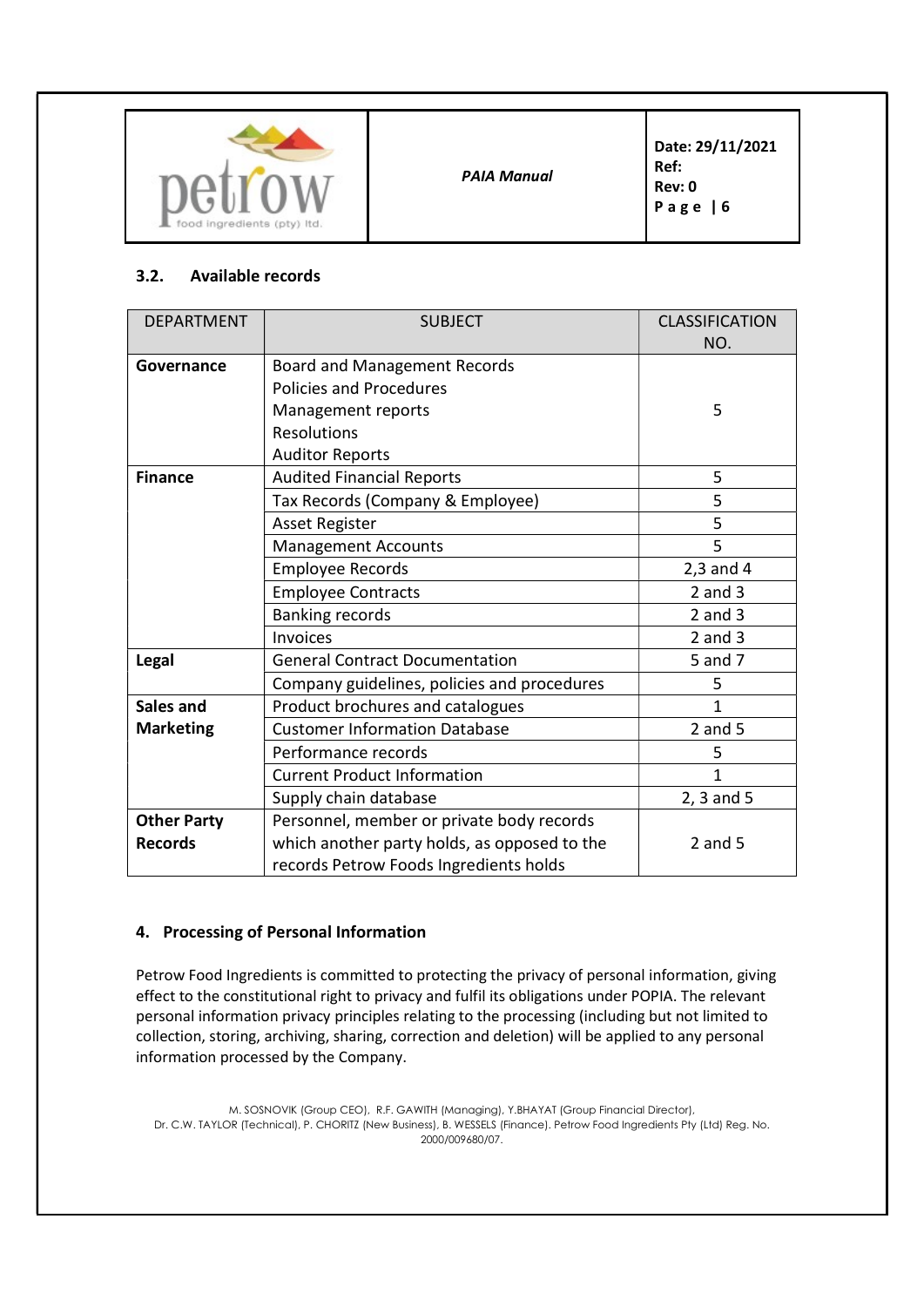| food ingredients (pty) Itd. | <b>PAIA Manual</b> | Date: 29/11/2021<br>Ref:<br>Rev: 0<br>Page $ 6$ |
|-----------------------------|--------------------|-------------------------------------------------|
|-----------------------------|--------------------|-------------------------------------------------|

#### 3.2. Available records

| <b>DEPARTMENT</b>  | <b>SUBJECT</b>                               | <b>CLASSIFICATION</b> |
|--------------------|----------------------------------------------|-----------------------|
|                    |                                              | NO.                   |
| Governance         | <b>Board and Management Records</b>          |                       |
|                    | <b>Policies and Procedures</b>               |                       |
|                    | Management reports                           | 5                     |
|                    | <b>Resolutions</b>                           |                       |
|                    | <b>Auditor Reports</b>                       |                       |
| <b>Finance</b>     | <b>Audited Financial Reports</b>             | 5                     |
|                    | Tax Records (Company & Employee)             | 5                     |
|                    | <b>Asset Register</b>                        | 5                     |
|                    | <b>Management Accounts</b>                   | 5                     |
|                    | <b>Employee Records</b>                      | $2,3$ and 4           |
|                    | <b>Employee Contracts</b>                    | $2$ and $3$           |
|                    | <b>Banking records</b>                       | $2$ and $3$           |
|                    | <b>Invoices</b>                              | $2$ and $3$           |
| Legal              | <b>General Contract Documentation</b>        | 5 and 7               |
|                    | Company guidelines, policies and procedures  | 5                     |
| Sales and          | Product brochures and catalogues             | $\mathbf{1}$          |
| <b>Marketing</b>   | <b>Customer Information Database</b>         | $2$ and $5$           |
|                    | Performance records                          | 5                     |
|                    | <b>Current Product Information</b>           | 1                     |
|                    | Supply chain database                        | $2, 3$ and $5$        |
| <b>Other Party</b> | Personnel, member or private body records    |                       |
| <b>Records</b>     | which another party holds, as opposed to the | $2$ and $5$           |
|                    | records Petrow Foods Ingredients holds       |                       |

# 4. Processing of Personal Information

Petrow Food Ingredients is committed to protecting the privacy of personal information, giving effect to the constitutional right to privacy and fulfil its obligations under POPIA. The relevant personal information privacy principles relating to the processing (including but not limited to collection, storing, archiving, sharing, correction and deletion) will be applied to any personal information processed by the Company.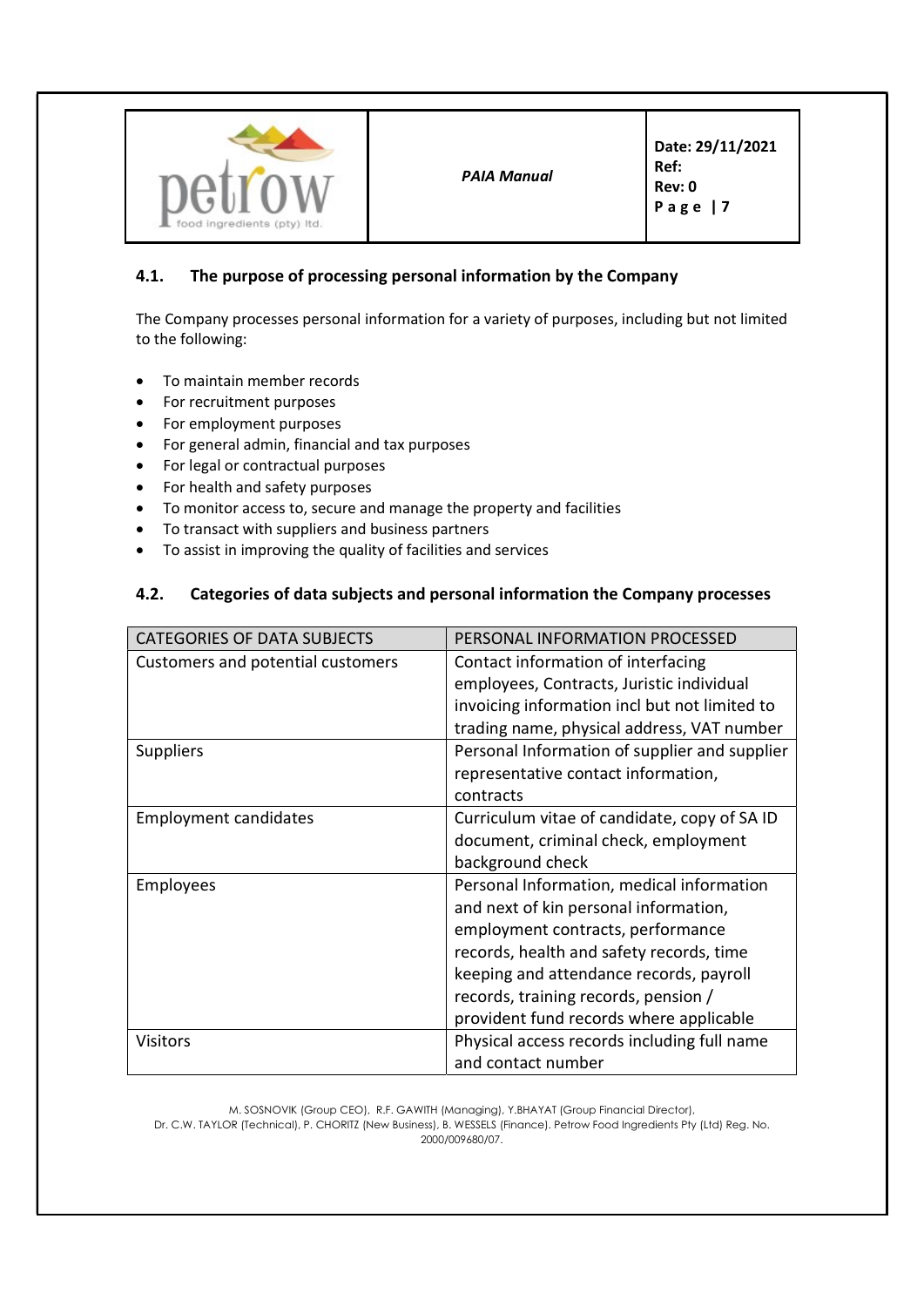

# 4.1. The purpose of processing personal information by the Company

The Company processes personal information for a variety of purposes, including but not limited to the following:

- To maintain member records
- For recruitment purposes
- For employment purposes
- For general admin, financial and tax purposes
- For legal or contractual purposes
- For health and safety purposes
- To monitor access to, secure and manage the property and facilities
- To transact with suppliers and business partners
- To assist in improving the quality of facilities and services

#### 4.2. Categories of data subjects and personal information the Company processes

| <b>CATEGORIES OF DATA SUBJECTS</b> | PERSONAL INFORMATION PROCESSED                |
|------------------------------------|-----------------------------------------------|
| Customers and potential customers  | Contact information of interfacing            |
|                                    | employees, Contracts, Juristic individual     |
|                                    | invoicing information incl but not limited to |
|                                    | trading name, physical address, VAT number    |
| <b>Suppliers</b>                   | Personal Information of supplier and supplier |
|                                    | representative contact information,           |
|                                    | contracts                                     |
| <b>Employment candidates</b>       | Curriculum vitae of candidate, copy of SA ID  |
|                                    | document, criminal check, employment          |
|                                    | background check                              |
| <b>Employees</b>                   | Personal Information, medical information     |
|                                    | and next of kin personal information,         |
|                                    | employment contracts, performance             |
|                                    | records, health and safety records, time      |
|                                    | keeping and attendance records, payroll       |
|                                    | records, training records, pension /          |
|                                    | provident fund records where applicable       |
| Visitors                           | Physical access records including full name   |
|                                    | and contact number                            |

M. SOSNOVIK (Group CEO), R.F. GAWITH (Managing), Y.BHAYAT (Group Financial Director),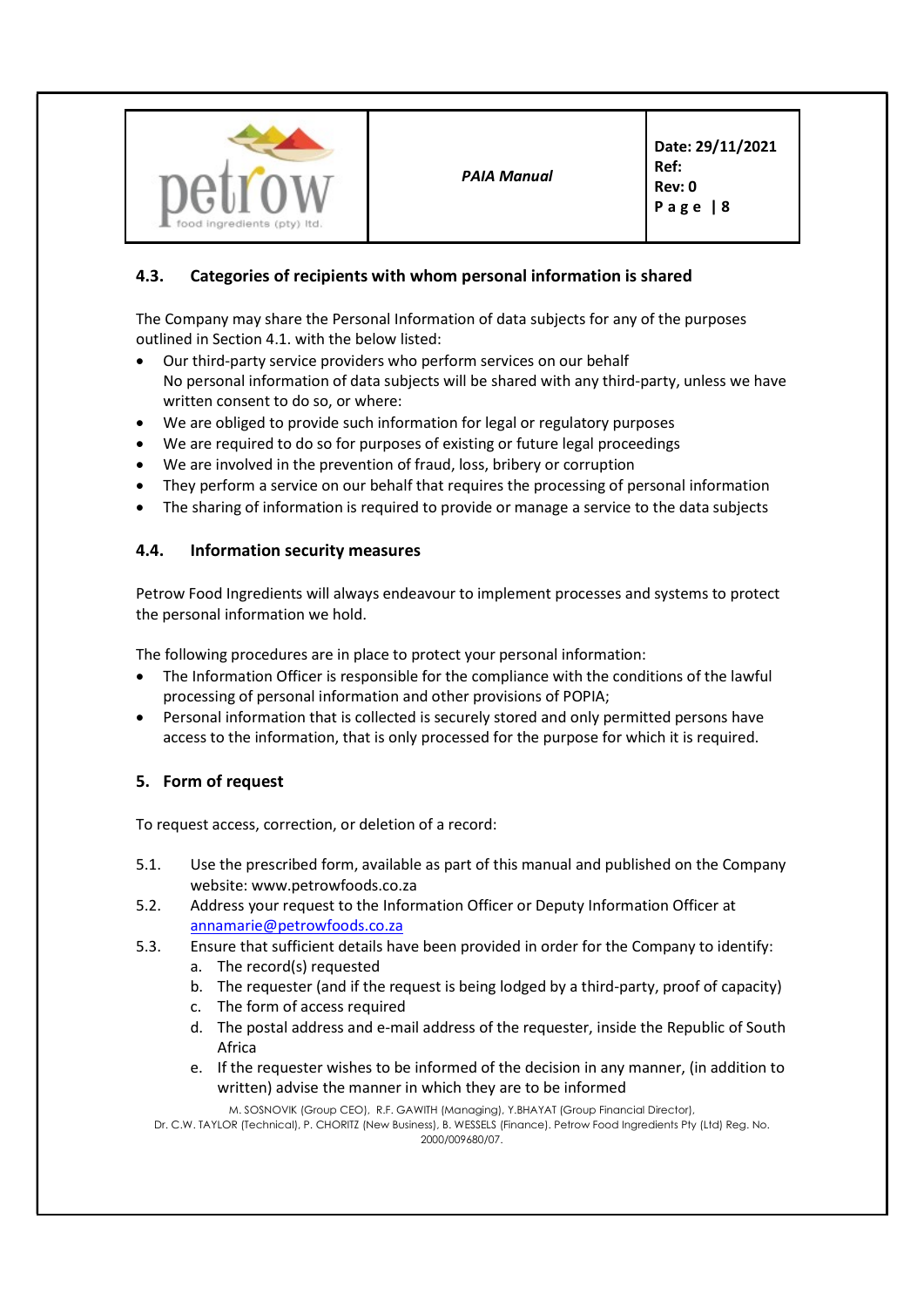

# 4.3. Categories of recipients with whom personal information is shared

The Company may share the Personal Information of data subjects for any of the purposes outlined in Section 4.1. with the below listed:

- Our third-party service providers who perform services on our behalf No personal information of data subjects will be shared with any third-party, unless we have written consent to do so, or where:
- We are obliged to provide such information for legal or regulatory purposes
- We are required to do so for purposes of existing or future legal proceedings
- We are involved in the prevention of fraud, loss, bribery or corruption
- They perform a service on our behalf that requires the processing of personal information
- The sharing of information is required to provide or manage a service to the data subjects

#### 4.4. Information security measures

Petrow Food Ingredients will always endeavour to implement processes and systems to protect the personal information we hold.

The following procedures are in place to protect your personal information:

- The Information Officer is responsible for the compliance with the conditions of the lawful processing of personal information and other provisions of POPIA;
- Personal information that is collected is securely stored and only permitted persons have access to the information, that is only processed for the purpose for which it is required.

# 5. Form of request

To request access, correction, or deletion of a record:

- 5.1. Use the prescribed form, available as part of this manual and published on the Company website: www.petrowfoods.co.za
- 5.2. Address your request to the Information Officer or Deputy Information Officer at annamarie@petrowfoods.co.za
- 5.3. Ensure that sufficient details have been provided in order for the Company to identify:
	- a. The record(s) requested
	- b. The requester (and if the request is being lodged by a third-party, proof of capacity)
	- c. The form of access required
	- d. The postal address and e-mail address of the requester, inside the Republic of South Africa
	- e. If the requester wishes to be informed of the decision in any manner, (in addition to written) advise the manner in which they are to be informed

M. SOSNOVIK (Group CEO), R.F. GAWITH (Managing), Y.BHAYAT (Group Financial Director),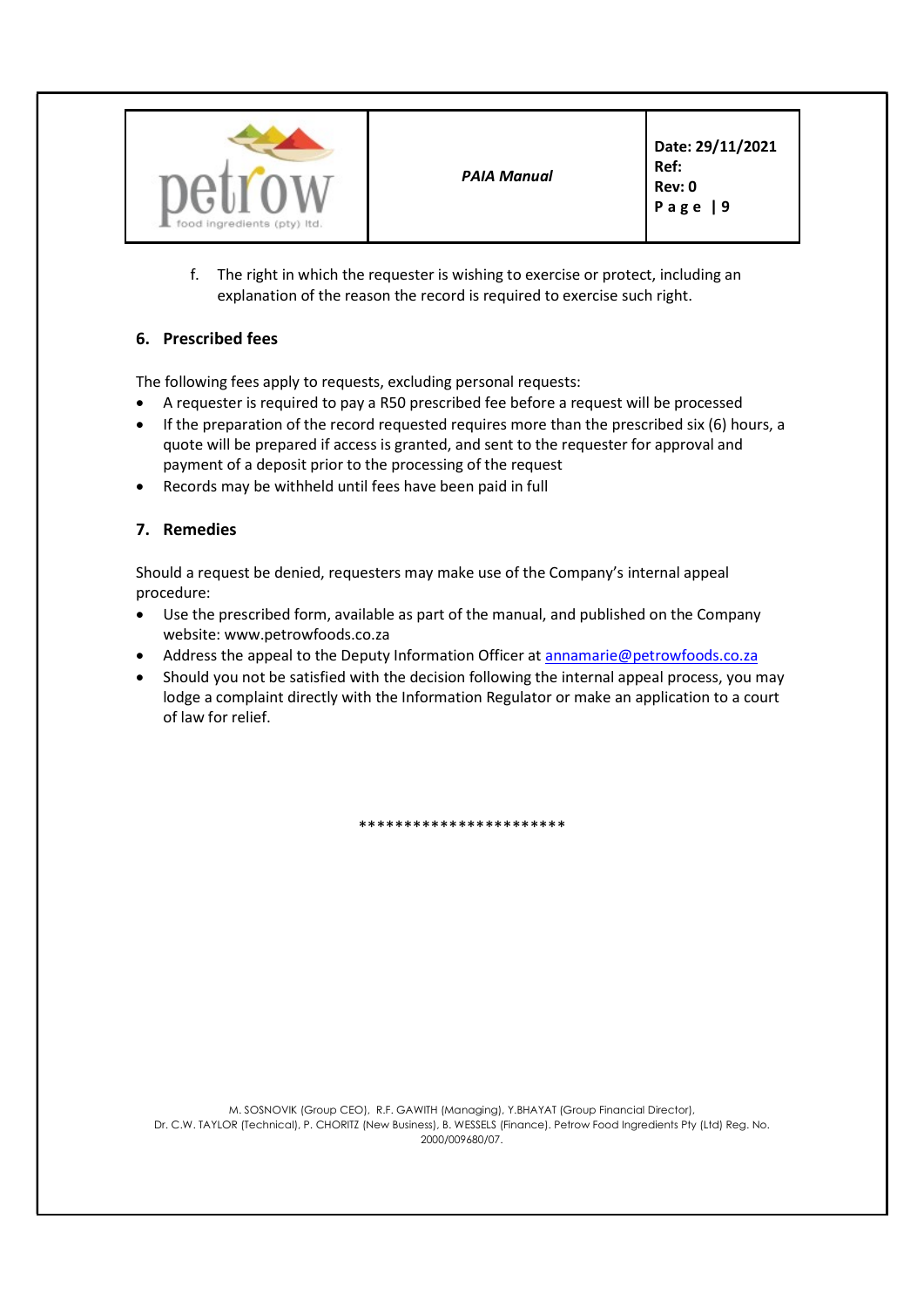| a.<br>food ingredients (pty) Itd. | <b>PAIA Manual</b> | Date: 29/11/2021<br>Ref:<br>Rev: 0<br><b>Page   9</b> |
|-----------------------------------|--------------------|-------------------------------------------------------|
|-----------------------------------|--------------------|-------------------------------------------------------|

f. The right in which the requester is wishing to exercise or protect, including an explanation of the reason the record is required to exercise such right.

# 6. Prescribed fees

The following fees apply to requests, excluding personal requests:

- A requester is required to pay a R50 prescribed fee before a request will be processed
- If the preparation of the record requested requires more than the prescribed six (6) hours, a quote will be prepared if access is granted, and sent to the requester for approval and payment of a deposit prior to the processing of the request
- Records may be withheld until fees have been paid in full

# 7. Remedies

Should a request be denied, requesters may make use of the Company's internal appeal procedure:

- Use the prescribed form, available as part of the manual, and published on the Company website: www.petrowfoods.co.za
- Address the appeal to the Deputy Information Officer at **annamarie@petrowfoods.co.za**
- Should you not be satisfied with the decision following the internal appeal process, you may lodge a complaint directly with the Information Regulator or make an application to a court of law for relief.

\*\*\*\*\*\*\*\*\*\*\*\*\*\*\*\*\*\*\*\*\*\*\*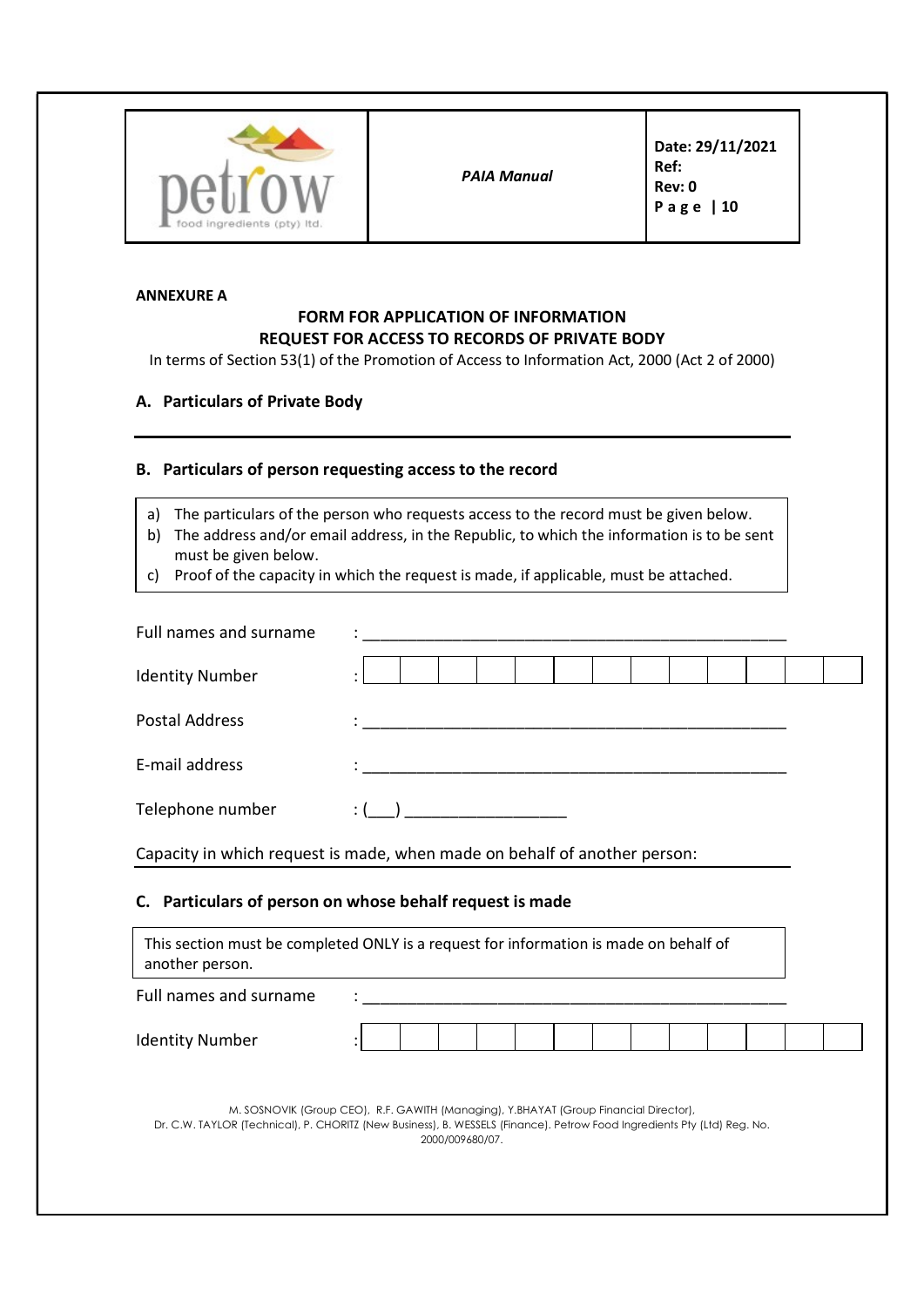| food ingredients (pty) Itd. |  |
|-----------------------------|--|

Date: 29/11/2021 Ref: Rev: 0 P a g e | 10

#### ANNEXURE A

# FORM FOR APPLICATION OF INFORMATION REQUEST FOR ACCESS TO RECORDS OF PRIVATE BODY

In terms of Section 53(1) of the Promotion of Access to Information Act, 2000 (Act 2 of 2000)

## A. Particulars of Private Body

#### B. Particulars of person requesting access to the record

- a) The particulars of the person who requests access to the record must be given below.
- b) The address and/or email address, in the Republic, to which the information is to be sent must be given below.
- c) Proof of the capacity in which the request is made, if applicable, must be attached.

| Full names and surname                                                                                   |                                                                           |  |  |  |  |
|----------------------------------------------------------------------------------------------------------|---------------------------------------------------------------------------|--|--|--|--|
| <b>Identity Number</b>                                                                                   |                                                                           |  |  |  |  |
| <b>Postal Address</b>                                                                                    |                                                                           |  |  |  |  |
| E-mail address                                                                                           |                                                                           |  |  |  |  |
| Telephone number                                                                                         |                                                                           |  |  |  |  |
|                                                                                                          | Capacity in which request is made, when made on behalf of another person: |  |  |  |  |
| C. Particulars of person on whose behalf request is made                                                 |                                                                           |  |  |  |  |
| This section must be completed ONLY is a request for information is made on behalf of<br>another person. |                                                                           |  |  |  |  |

| Full names and surname |  |  |  |  |  |  |  |
|------------------------|--|--|--|--|--|--|--|
| <b>Identity Number</b> |  |  |  |  |  |  |  |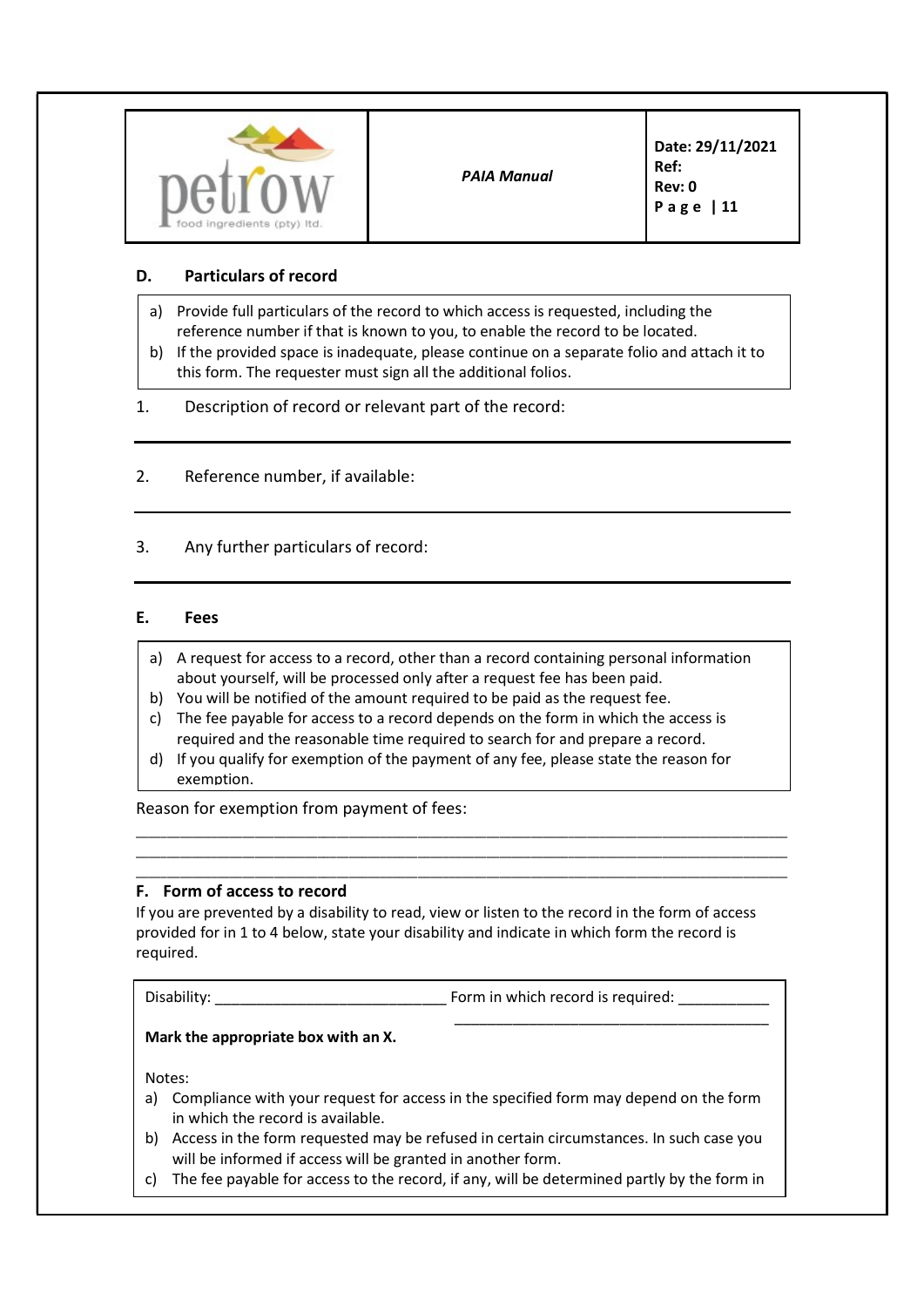

Date: 29/11/2021 Ref: Rev: 0 P a g e | 11

# D. Particulars of record

- a) Provide full particulars of the record to which access is requested, including the reference number if that is known to you, to enable the record to be located.
- b) If the provided space is inadequate, please continue on a separate folio and attach it to this form. The requester must sign all the additional folios.
- 1. Description of record or relevant part of the record:
- 2. Reference number, if available:
- 3. Any further particulars of record:

#### E. Fees

- a) A request for access to a record, other than a record containing personal information about yourself, will be processed only after a request fee has been paid.
- b) You will be notified of the amount required to be paid as the request fee.
- c) The fee payable for access to a record depends on the form in which the access is required and the reasonable time required to search for and prepare a record.
- d) If you qualify for exemption of the payment of any fee, please state the reason for exemption.

\_\_\_\_\_\_\_\_\_\_\_\_\_\_\_\_\_\_\_\_\_\_\_\_\_\_\_\_\_\_\_\_\_\_\_\_\_\_\_\_\_\_\_\_\_\_\_\_\_\_\_\_\_\_\_\_\_\_\_\_\_\_\_\_\_\_\_\_\_\_\_\_\_\_\_\_\_\_\_\_\_\_\_\_\_\_\_\_\_\_\_\_\_\_\_\_\_\_\_\_\_\_\_\_ \_\_\_\_\_\_\_\_\_\_\_\_\_\_\_\_\_\_\_\_\_\_\_\_\_\_\_\_\_\_\_\_\_\_\_\_\_\_\_\_\_\_\_\_\_\_\_\_\_\_\_\_\_\_\_\_\_\_\_\_\_\_\_\_\_\_\_\_\_\_\_\_\_\_\_\_\_\_\_\_\_\_\_\_\_\_\_\_\_\_\_\_\_\_\_\_\_\_\_\_\_\_\_\_ \_\_\_\_\_\_\_\_\_\_\_\_\_\_\_\_\_\_\_\_\_\_\_\_\_\_\_\_\_\_\_\_\_\_\_\_\_\_\_\_\_\_\_\_\_\_\_\_\_\_\_\_\_\_\_\_\_\_\_\_\_\_\_\_\_\_\_\_\_\_\_\_\_\_\_\_\_\_\_\_\_\_\_\_\_\_\_\_\_\_\_\_\_\_\_\_\_\_\_\_\_\_\_\_

#### Reason for exemption from payment of fees:

#### F. Form of access to record

If you are prevented by a disability to read, view or listen to the record in the form of access provided for in 1 to 4 below, state your disability and indicate in which form the record is required.

| Disability: |  |
|-------------|--|
|-------------|--|

Form in which record is required:

#### Mark the appropriate box with an X.

which access is requested.

Notes:

 $\mathbf{F}$  so shown can get the contribution of  $\mathbf{F}$  (Group  $\mathbf{F}$ ),  $\mathbf{F}$ in which the record is available. a) Compliance with your request for access in the specified form may depend on the form

 $\overline{\phantom{a}}$  , and the contract of the contract of the contract of the contract of the contract of the contract of the contract of the contract of the contract of the contract of the contract of the contract of the contrac

- b) Access in the form requested may be refused in certain circumstances. In such case you will be informed if access will be granted in another form.
- c) The fee payable for access to the record, if any, will be determined partly by the form in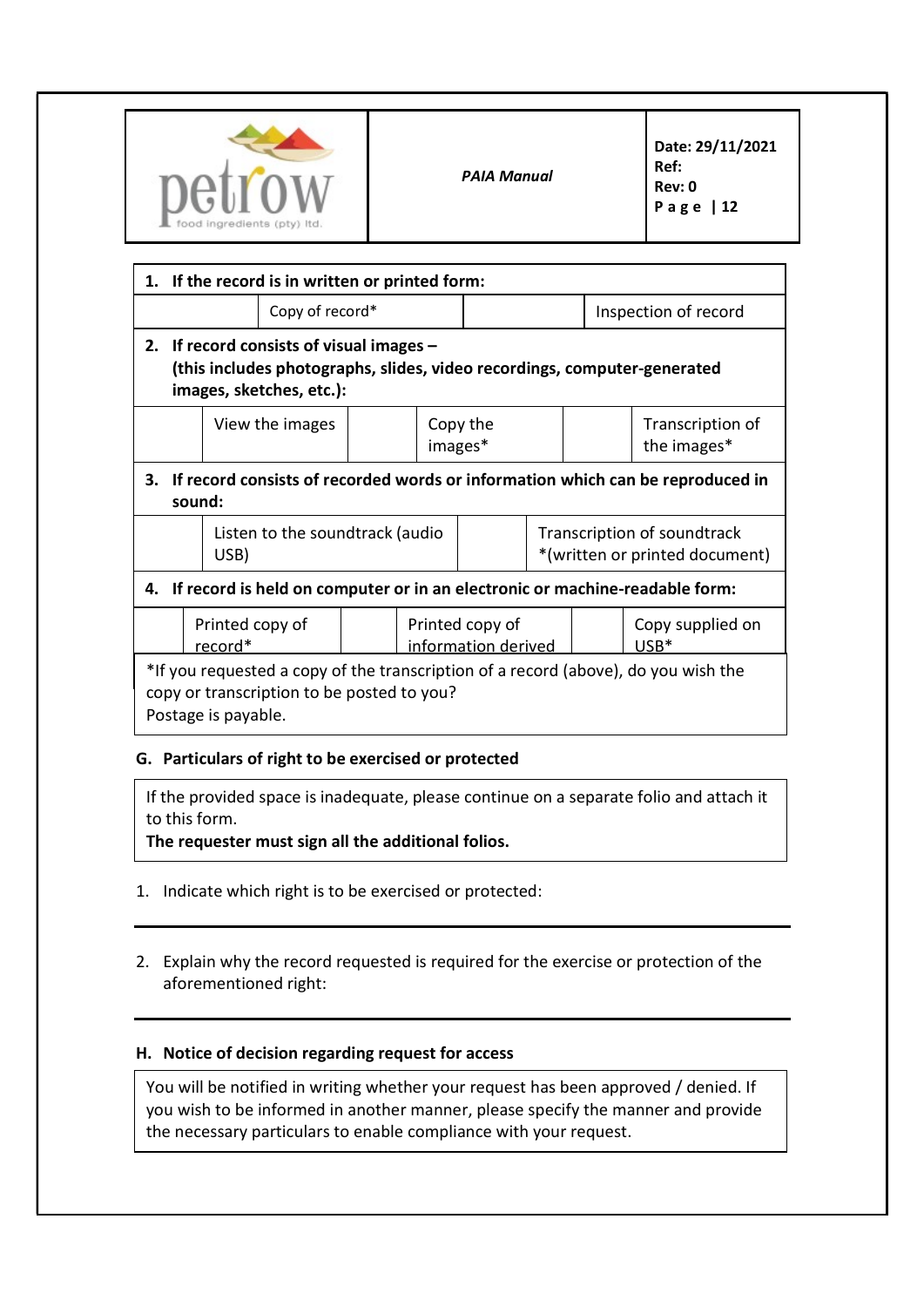

| 1.                                                                                                                                                  |                                                                                                          |                     | If the record is in written or printed form: |  |                                        |  |  |                            |                                                                                    |  |  |
|-----------------------------------------------------------------------------------------------------------------------------------------------------|----------------------------------------------------------------------------------------------------------|---------------------|----------------------------------------------|--|----------------------------------------|--|--|----------------------------|------------------------------------------------------------------------------------|--|--|
|                                                                                                                                                     |                                                                                                          |                     | Copy of record*                              |  |                                        |  |  | Inspection of record       |                                                                                    |  |  |
| If record consists of visual images -<br>2.<br>(this includes photographs, slides, video recordings, computer-generated<br>images, sketches, etc.): |                                                                                                          |                     |                                              |  |                                        |  |  |                            |                                                                                    |  |  |
|                                                                                                                                                     |                                                                                                          |                     | View the images                              |  | Copy the<br>images*                    |  |  |                            | Transcription of<br>the images*                                                    |  |  |
| If record consists of recorded words or information which can be reproduced in<br>3.<br>sound:                                                      |                                                                                                          |                     |                                              |  |                                        |  |  |                            |                                                                                    |  |  |
|                                                                                                                                                     | Listen to the soundtrack (audio<br>Transcription of soundtrack<br>*(written or printed document)<br>USB) |                     |                                              |  |                                        |  |  |                            |                                                                                    |  |  |
| 4.                                                                                                                                                  |                                                                                                          |                     |                                              |  |                                        |  |  |                            | If record is held on computer or in an electronic or machine-readable form:        |  |  |
|                                                                                                                                                     | Printed copy of<br>record*                                                                               |                     |                                              |  | Printed copy of<br>information derived |  |  | Copy supplied on<br>$USB*$ |                                                                                    |  |  |
|                                                                                                                                                     |                                                                                                          | Postage is payable. | copy or transcription to be posted to you?   |  |                                        |  |  |                            | *If you requested a copy of the transcription of a record (above), do you wish the |  |  |

# G. Particulars of right to be exercised or protected

If the provided space is inadequate, please continue on a separate folio and attach it to this form.

The requester must sign all the additional folios.

- 1. Indicate which right is to be exercised or protected:
- 2. Explain why the record requested is required for the exercise or protection of the aforementioned right:

# H. Notice of decision regarding request for access

you wish to be informed in another manner, please specify the manner and provide  $\mathbf{E}$ the necessary particulars to enable compliance with your request. You will be notified in writing whether your request has been approved / denied. If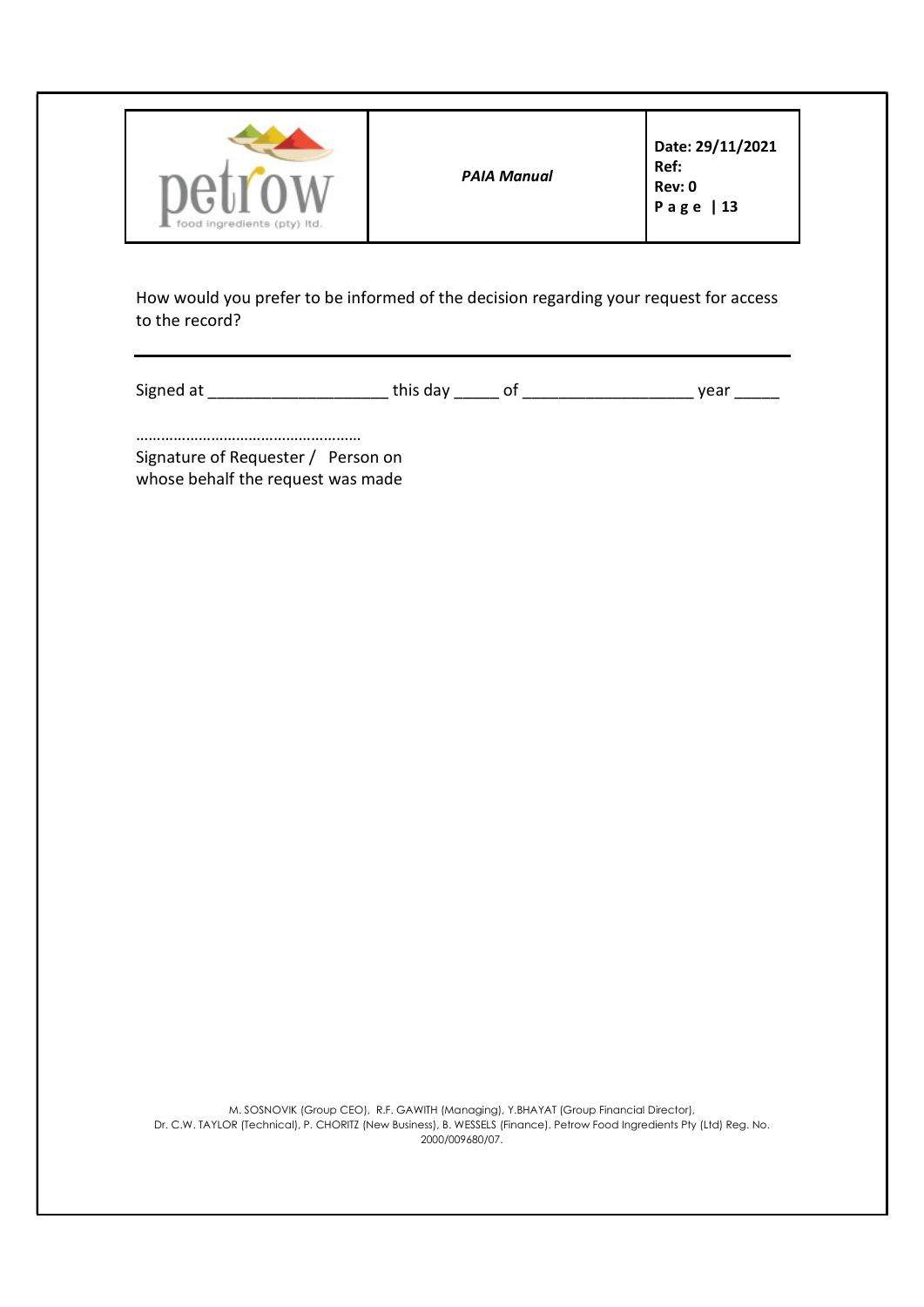| food ingredients (pty) Itd. | <b>PAIA Manual</b> | Date: 29/11/2021<br>Ref:<br>Rev: 0<br>Page   13 |
|-----------------------------|--------------------|-------------------------------------------------|
|-----------------------------|--------------------|-------------------------------------------------|

How would you prefer to be informed of the decision regarding your request for access to the record?

Signed at \_\_\_\_\_\_\_\_\_\_\_\_\_\_\_\_\_\_\_\_ this day \_\_\_\_\_ of \_\_\_\_\_\_\_\_\_\_\_\_\_\_\_\_\_\_\_ year \_\_\_\_\_

……………………………………………… Signature of Requester / Person on

whose behalf the request was made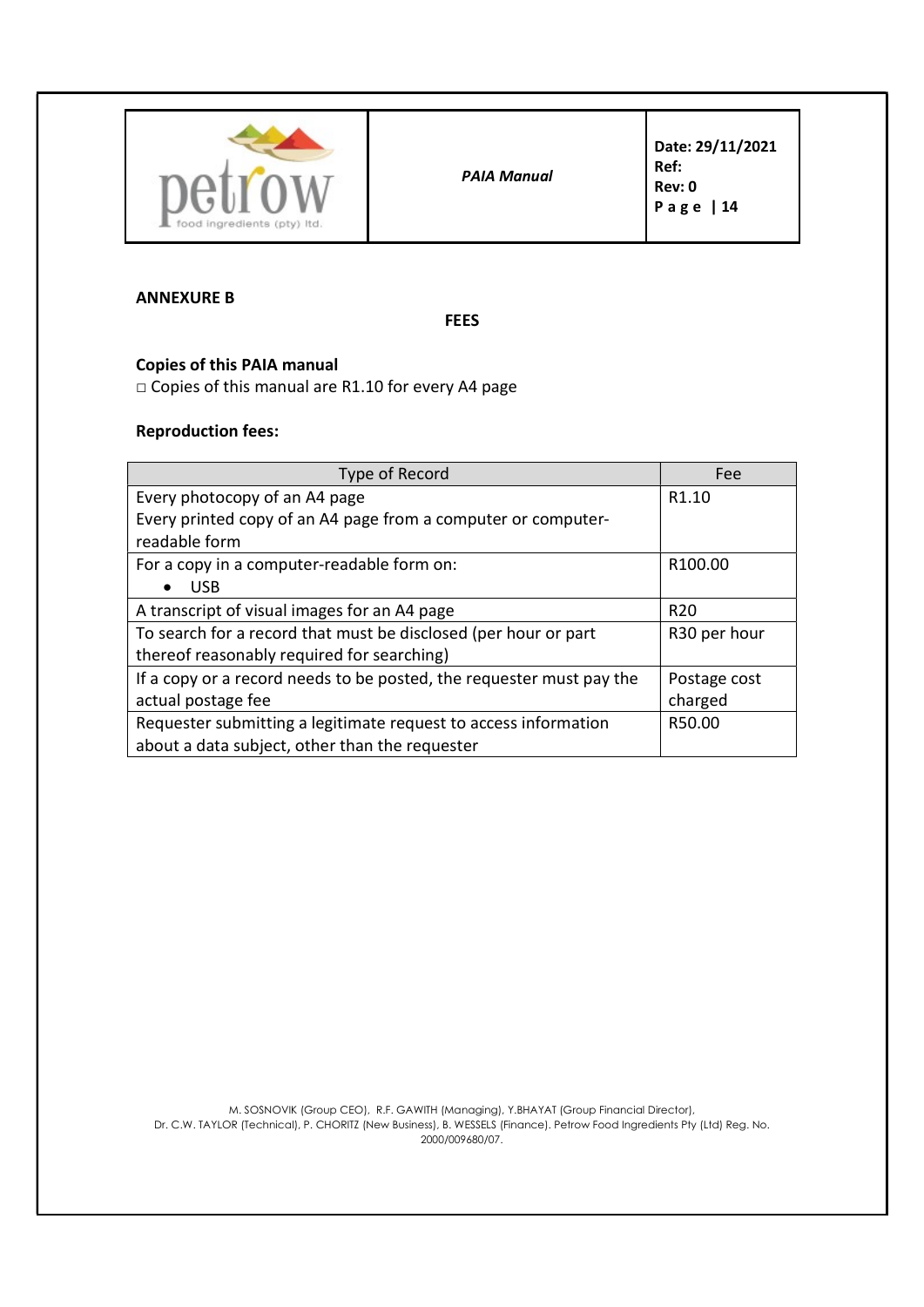

Date: 29/11/2021 Ref: Rev: 0 P a g e | 14

# ANNEXURE B

**FEES** 

# Copies of this PAIA manual

□ Copies of this manual are R1.10 for every A4 page

# Reproduction fees:

| Type of Record                                                       | Fee               |
|----------------------------------------------------------------------|-------------------|
| Every photocopy of an A4 page                                        | R <sub>1.10</sub> |
| Every printed copy of an A4 page from a computer or computer-        |                   |
| readable form                                                        |                   |
| For a copy in a computer-readable form on:                           | R100.00           |
| <b>USB</b>                                                           |                   |
| A transcript of visual images for an A4 page                         | R <sub>20</sub>   |
| To search for a record that must be disclosed (per hour or part      | R30 per hour      |
| thereof reasonably required for searching)                           |                   |
| If a copy or a record needs to be posted, the requester must pay the | Postage cost      |
| actual postage fee                                                   | charged           |
| Requester submitting a legitimate request to access information      | R50.00            |
| about a data subject, other than the requester                       |                   |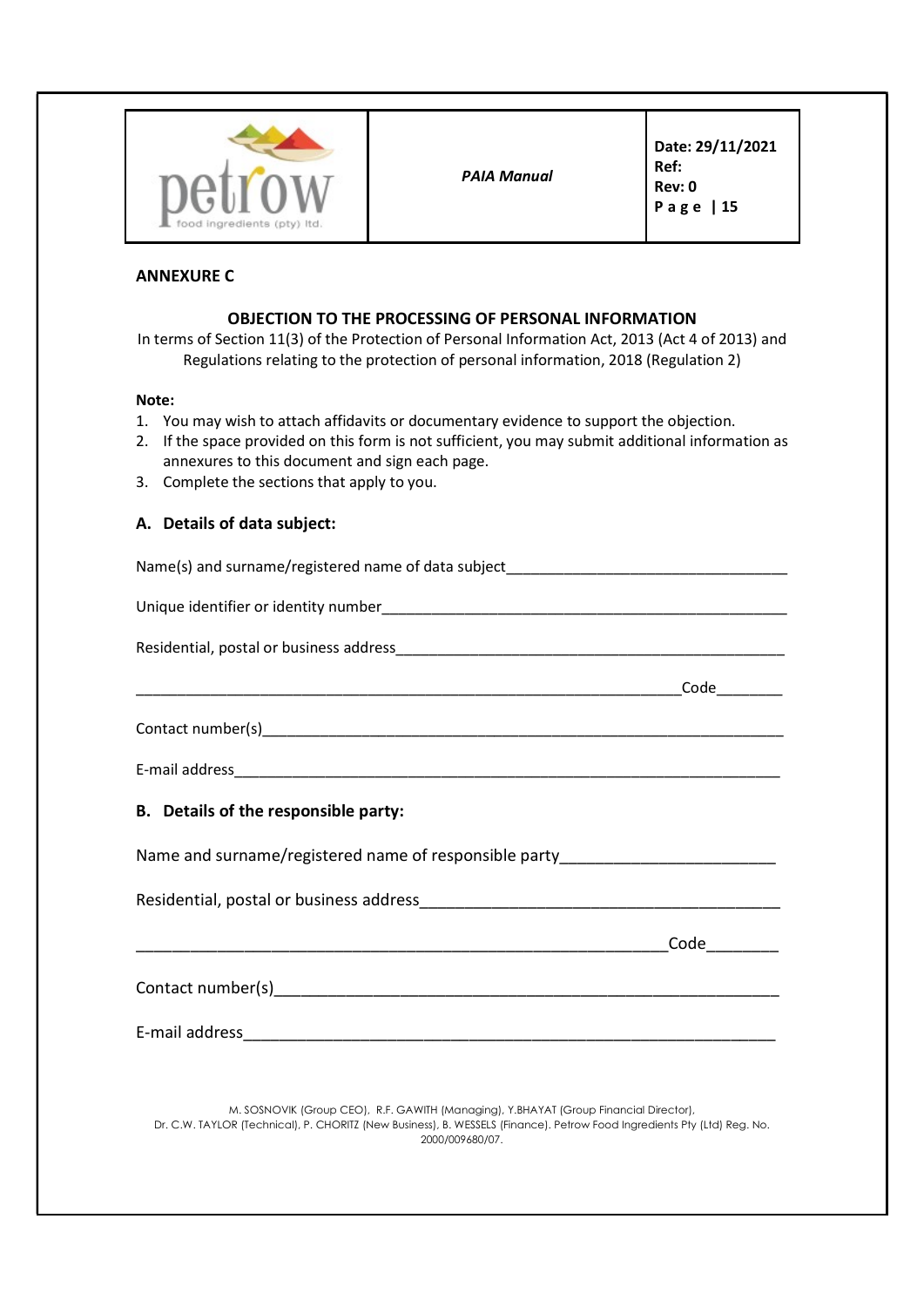| food ingredients (pty) Itd. | <b>PAIA Manual</b> | Date: 29/11/2021<br>Ref:<br>Rev: 0<br>Page   15 |
|-----------------------------|--------------------|-------------------------------------------------|
|-----------------------------|--------------------|-------------------------------------------------|

#### ANNEXURE C

## OBJECTION TO THE PROCESSING OF PERSONAL INFORMATION

In terms of Section 11(3) of the Protection of Personal Information Act, 2013 (Act 4 of 2013) and Regulations relating to the protection of personal information, 2018 (Regulation 2)

#### Note:

- 1. You may wish to attach affidavits or documentary evidence to support the objection.
- 2. If the space provided on this form is not sufficient, you may submit additional information as annexures to this document and sign each page.
- 3. Complete the sections that apply to you.

#### A. Details of data subject:

| Name(s) and surname/registered name of data subject_____________________________      |  |
|---------------------------------------------------------------------------------------|--|
|                                                                                       |  |
|                                                                                       |  |
|                                                                                       |  |
|                                                                                       |  |
|                                                                                       |  |
| B. Details of the responsible party:                                                  |  |
| Name and surname/registered name of responsible party___________________________      |  |
|                                                                                       |  |
|                                                                                       |  |
|                                                                                       |  |
|                                                                                       |  |
|                                                                                       |  |
| M. SOSNOVIK (Group CEO), R.F. GAWITH (Managing), Y.BHAYAT (Group Financial Director), |  |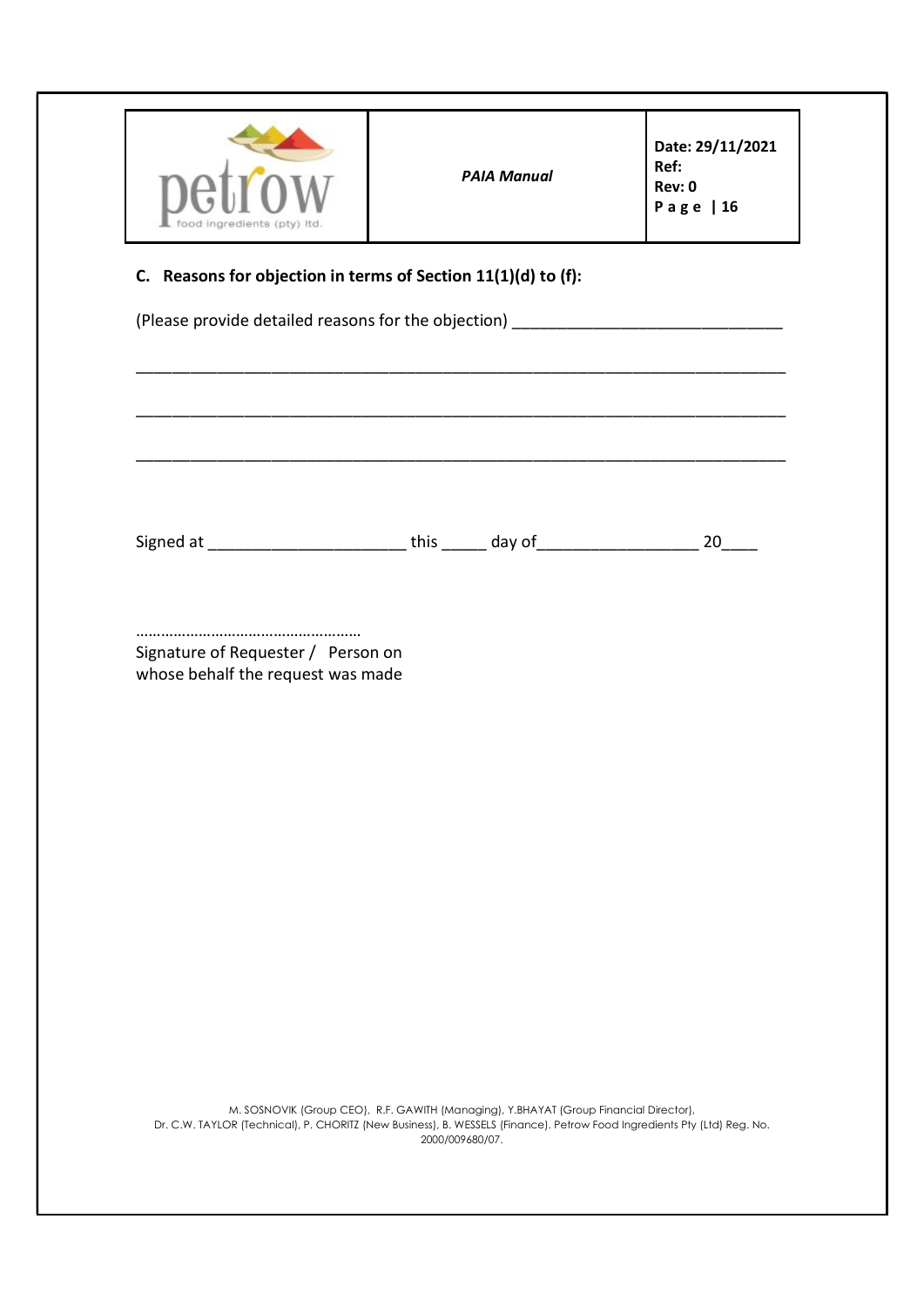|                                                                                                                                                   | <b>PAIA Manual</b> | Date: 29/11/2021<br>Ref:<br>Rev: 0<br>Page   16 |
|---------------------------------------------------------------------------------------------------------------------------------------------------|--------------------|-------------------------------------------------|
| C. Reasons for objection in terms of Section 11(1)(d) to (f):<br>(Please provide detailed reasons for the objection) ____________________________ |                    |                                                 |
|                                                                                                                                                   |                    |                                                 |
| Signed at _____________________________this ________ day of_____________________                                                                  |                    | 20                                              |
| Signature of Requester / Person on<br>whose behalf the request was made                                                                           |                    |                                                 |
|                                                                                                                                                   |                    |                                                 |
|                                                                                                                                                   |                    |                                                 |
|                                                                                                                                                   |                    |                                                 |
|                                                                                                                                                   |                    |                                                 |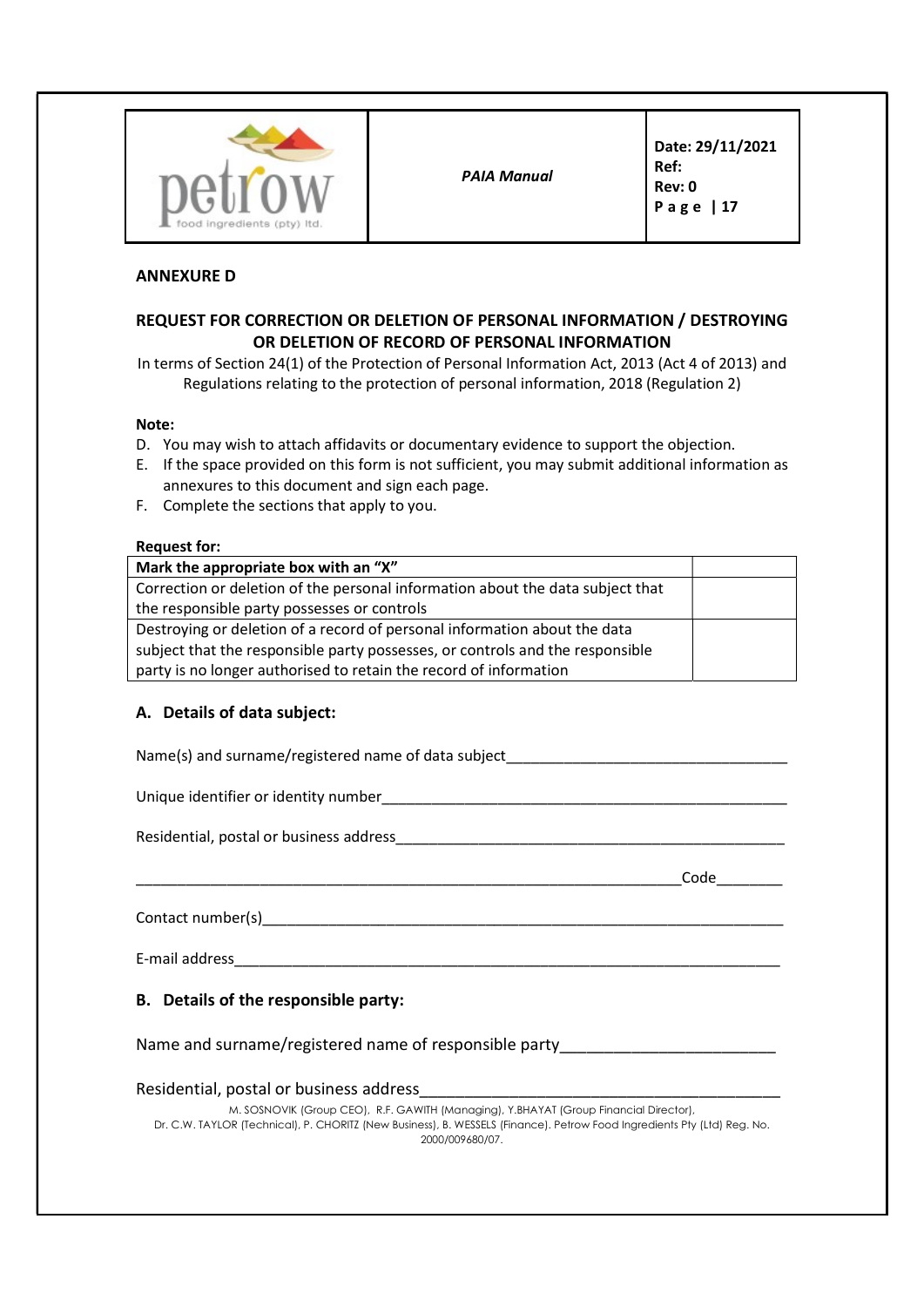

Date: 29/11/2021 Ref: Rev: 0 P a g e | 17

#### ANNEXURE D

# REQUEST FOR CORRECTION OR DELETION OF PERSONAL INFORMATION / DESTROYING OR DELETION OF RECORD OF PERSONAL INFORMATION

In terms of Section 24(1) of the Protection of Personal Information Act, 2013 (Act 4 of 2013) and Regulations relating to the protection of personal information, 2018 (Regulation 2)

#### Note:

- D. You may wish to attach affidavits or documentary evidence to support the objection.
- E. If the space provided on this form is not sufficient, you may submit additional information as annexures to this document and sign each page.
- F. Complete the sections that apply to you.

#### Request for:

| Mark the appropriate box with an "X"                                           |  |
|--------------------------------------------------------------------------------|--|
| Correction or deletion of the personal information about the data subject that |  |
| the responsible party possesses or controls                                    |  |
| Destroying or deletion of a record of personal information about the data      |  |
| subject that the responsible party possesses, or controls and the responsible  |  |
| party is no longer authorised to retain the record of information              |  |

#### A. Details of data subject:

Name(s) and surname/registered name of data subject

Unique identifier or identity number

Residential, postal or business address\_\_\_\_\_\_\_\_\_\_\_\_\_\_\_\_\_\_\_\_\_\_\_\_\_\_\_\_\_\_\_\_\_\_\_\_\_\_\_\_\_\_\_\_\_\_\_

\_\_\_\_\_\_\_\_\_\_\_\_\_\_\_\_\_\_\_\_\_\_\_\_\_\_\_\_\_\_\_\_\_\_\_\_\_\_\_\_\_\_\_\_\_\_\_\_\_\_\_\_\_\_\_\_\_\_\_\_\_\_\_\_\_\_Code\_\_\_\_\_\_\_\_

Contact number(s)

E-mail address\_\_\_\_\_\_\_\_\_\_\_\_\_\_\_\_\_\_\_\_\_\_\_\_\_\_\_\_\_\_\_\_\_\_\_\_\_\_\_\_\_\_\_\_\_\_\_\_\_\_\_\_\_\_\_\_\_\_\_\_\_\_\_\_\_\_

# B. Details of the responsible party:

Name and surname/registered name of responsible party\_\_\_\_\_\_\_\_\_\_\_\_\_\_\_\_\_\_\_\_\_\_\_\_\_\_\_

#### Residential, postal or business address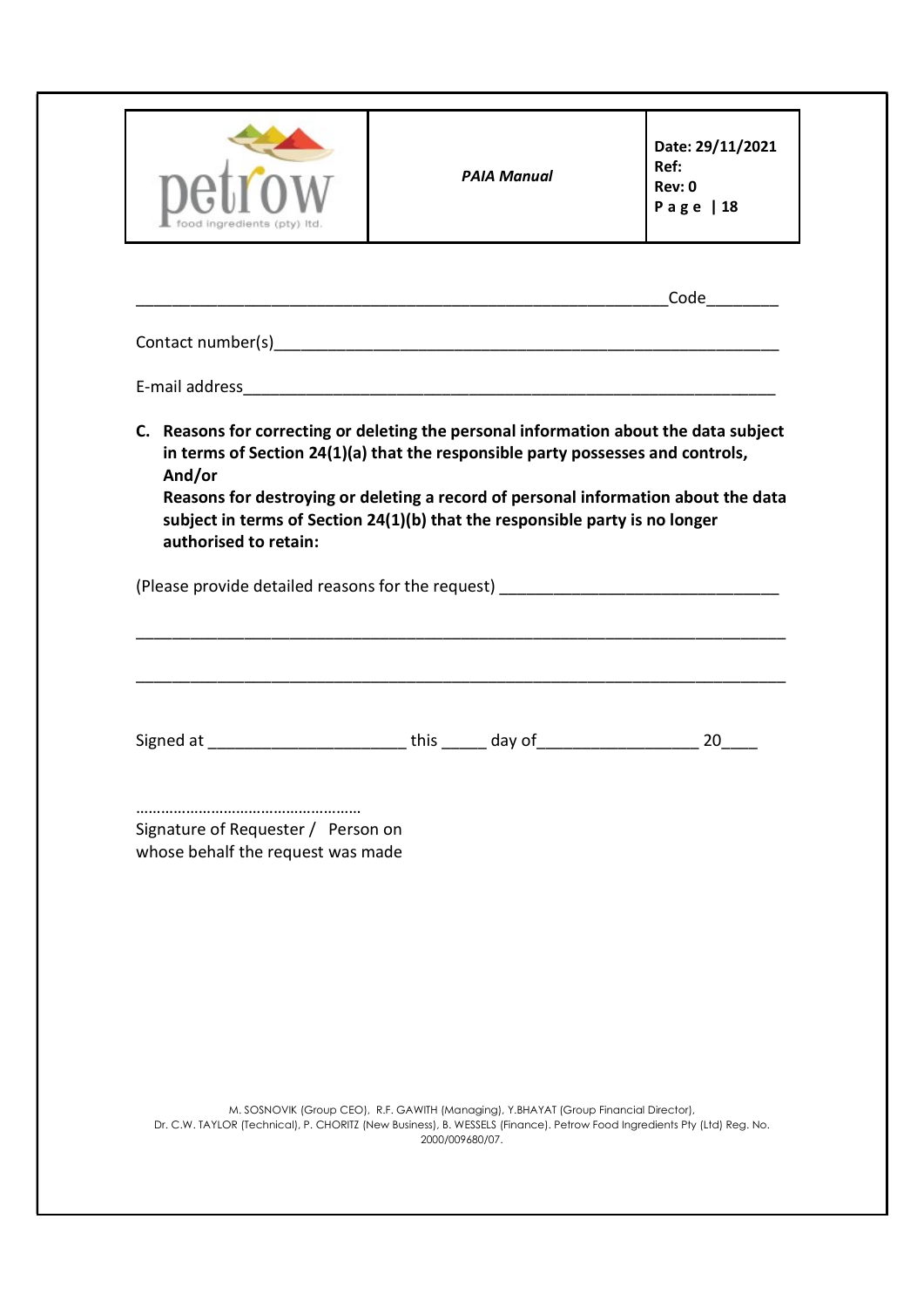|                                                                                                                                  |                                                                                                                                                                    | <b>PAIA Manual</b> | Date: 29/11/2021<br>Ref:<br>Rev: 0<br>Page $ 18$ |
|----------------------------------------------------------------------------------------------------------------------------------|--------------------------------------------------------------------------------------------------------------------------------------------------------------------|--------------------|--------------------------------------------------|
|                                                                                                                                  |                                                                                                                                                                    |                    |                                                  |
|                                                                                                                                  |                                                                                                                                                                    |                    |                                                  |
|                                                                                                                                  |                                                                                                                                                                    |                    |                                                  |
| authorised to retain:                                                                                                            | Reasons for destroying or deleting a record of personal information about the data<br>subject in terms of Section 24(1)(b) that the responsible party is no longer |                    |                                                  |
| (Please provide detailed reasons for the request) ______________________________                                                 |                                                                                                                                                                    |                    |                                                  |
|                                                                                                                                  |                                                                                                                                                                    |                    |                                                  |
| Signed at ___________________________this _______ day of ________________________ 20______<br>Signature of Requester / Person on |                                                                                                                                                                    |                    |                                                  |
|                                                                                                                                  |                                                                                                                                                                    |                    |                                                  |
|                                                                                                                                  |                                                                                                                                                                    |                    |                                                  |
|                                                                                                                                  |                                                                                                                                                                    |                    |                                                  |
|                                                                                                                                  |                                                                                                                                                                    |                    |                                                  |
| whose behalf the request was made                                                                                                |                                                                                                                                                                    |                    |                                                  |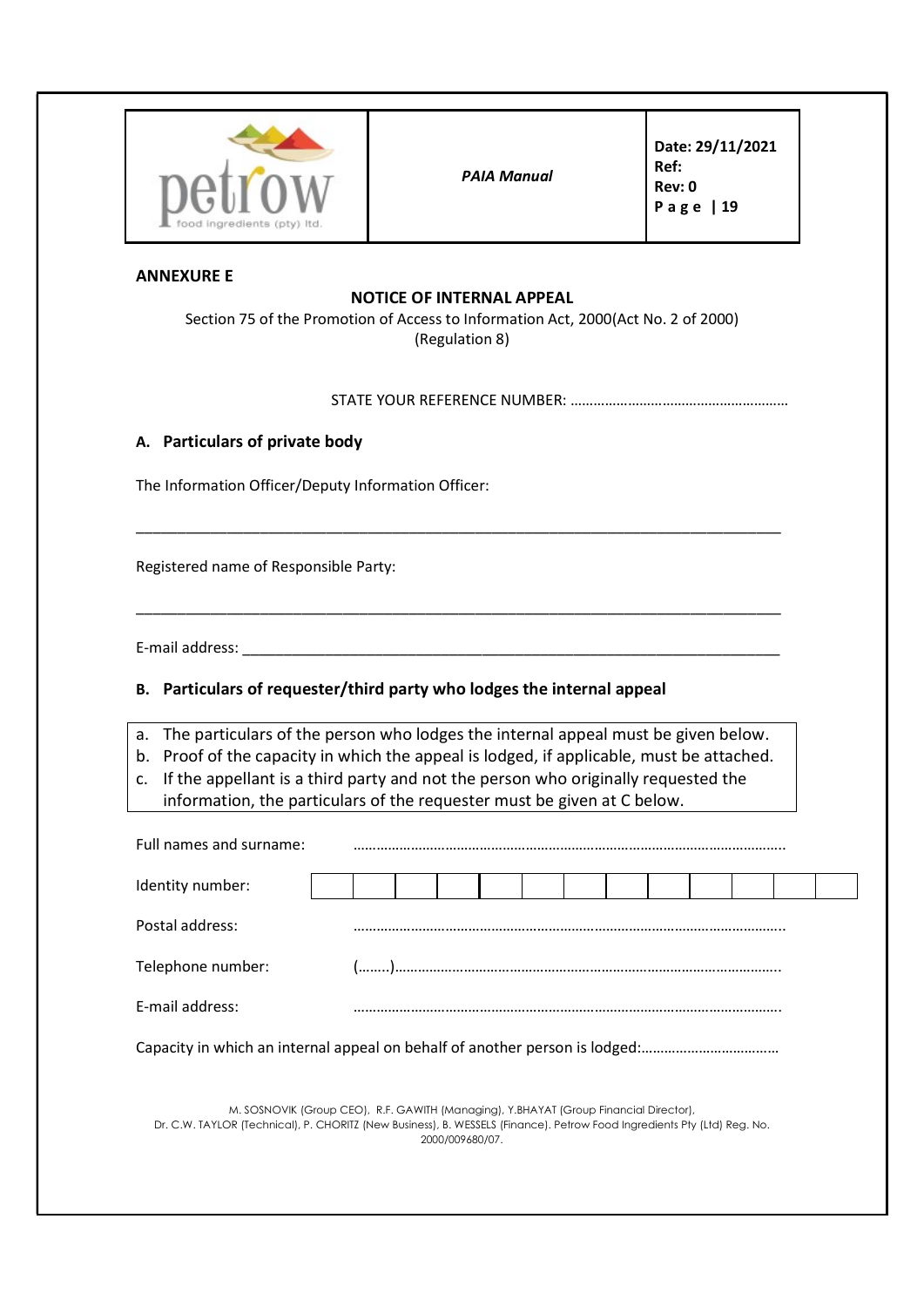Date: 29/11/2021 Ref: Rev: 0 P a g e | 19

#### ANNEXURE E

# NOTICE OF INTERNAL APPEAL

Section 75 of the Promotion of Access to Information Act, 2000(Act No. 2 of 2000) (Regulation 8)

\_\_\_\_\_\_\_\_\_\_\_\_\_\_\_\_\_\_\_\_\_\_\_\_\_\_\_\_\_\_\_\_\_\_\_\_\_\_\_\_\_\_\_\_\_\_\_\_\_\_\_\_\_\_\_\_\_\_\_\_\_\_\_\_\_\_\_\_\_\_\_\_\_\_\_\_\_\_

\_\_\_\_\_\_\_\_\_\_\_\_\_\_\_\_\_\_\_\_\_\_\_\_\_\_\_\_\_\_\_\_\_\_\_\_\_\_\_\_\_\_\_\_\_\_\_\_\_\_\_\_\_\_\_\_\_\_\_\_\_\_\_\_\_\_\_\_\_\_\_\_\_\_\_\_\_\_

STATE YOUR REFERENCE NUMBER: …………………………………………………

#### A. Particulars of private body

The Information Officer/Deputy Information Officer:

Registered name of Responsible Party:

E-mail address:

## B. Particulars of requester/third party who lodges the internal appeal

- a. The particulars of the person who lodges the internal appeal must be given below.
- b. Proof of the capacity in which the appeal is lodged, if applicable, must be attached.
- c. If the appellant is a third party and not the person who originally requested the information, the particulars of the requester must be given at C below.

| Full names and surname: |  |  |  |  |  |  |
|-------------------------|--|--|--|--|--|--|
| Identity number:        |  |  |  |  |  |  |
| Postal address:         |  |  |  |  |  |  |
| Telephone number:       |  |  |  |  |  |  |
| E-mail address:         |  |  |  |  |  |  |

Capacity in which an internal appeal on behalf of another person is lodged:………………………………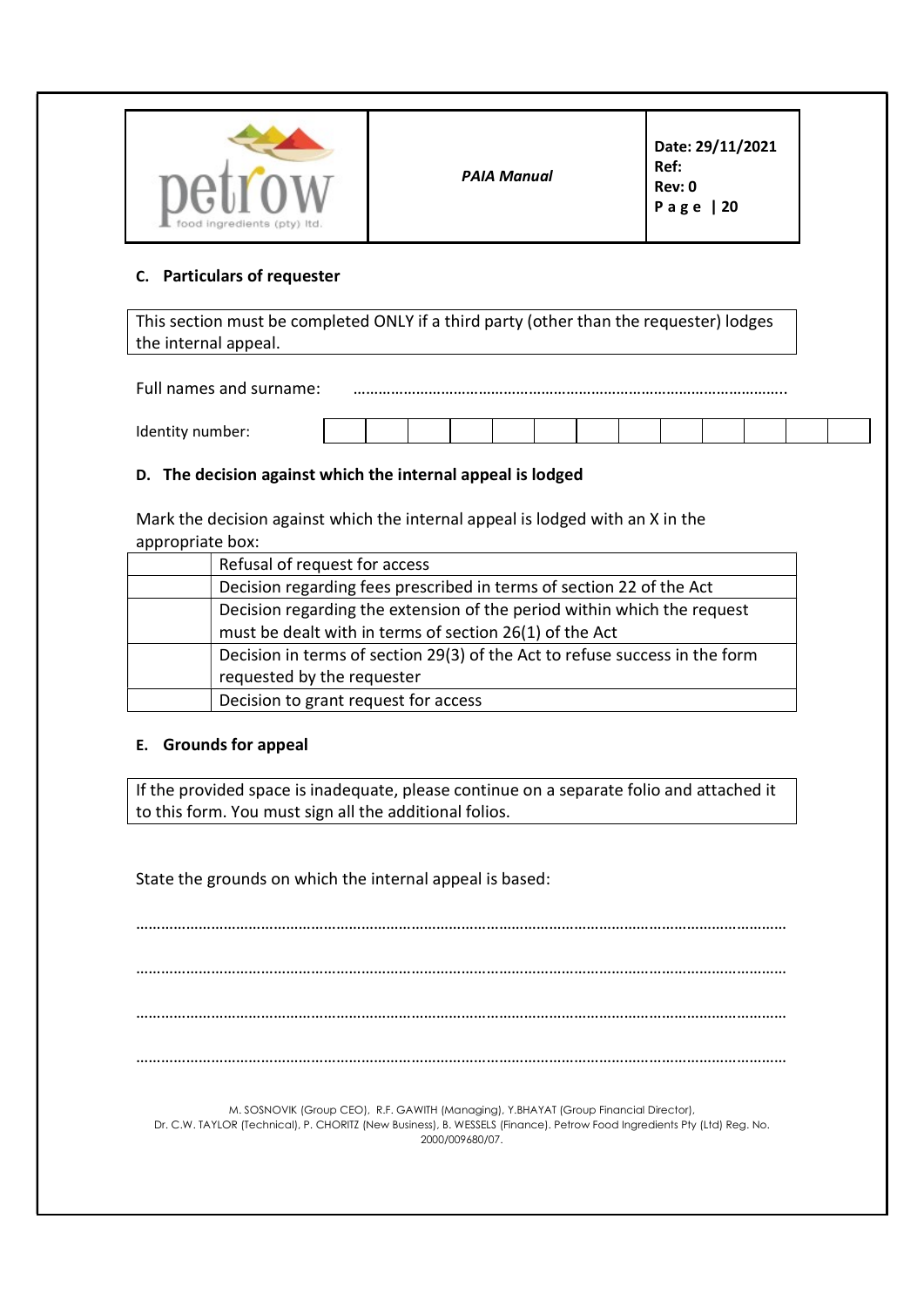

Date: 29/11/2021 Ref: Rev: 0 P a g e | 20

#### C. Particulars of requester

This section must be completed ONLY if a third party (other than the requester) lodges the internal appeal.

Full names and surname: Identity number:

#### D. The decision against which the internal appeal is lodged

Mark the decision against which the internal appeal is lodged with an X in the appropriate box:

| Refusal of request for access                                               |
|-----------------------------------------------------------------------------|
| Decision regarding fees prescribed in terms of section 22 of the Act        |
| Decision regarding the extension of the period within which the request     |
| must be dealt with in terms of section 26(1) of the Act                     |
| Decision in terms of section 29(3) of the Act to refuse success in the form |
| requested by the requester                                                  |
| Decision to grant request for access                                        |

#### E. Grounds for appeal

If the provided space is inadequate, please continue on a separate folio and attached it to this form. You must sign all the additional folios.

State the grounds on which the internal appeal is based:

M. SOSNOVIK (Group CEO), R.F. GAWITH (Managing), Y.BHAYAT (Group Financial Director), ………………………………………………………………………………………………………………………………………… ………………………………………………………………………………………………………………………………………… ………………………………………………………………………………………………………………………………………… …………………………………………………………………………………………………………………………………………